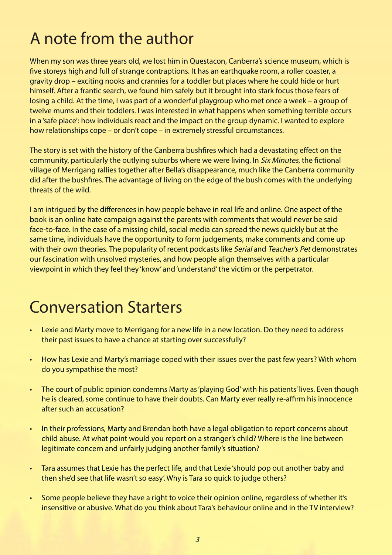## A note from the author

When my son was three years old, we lost him in Questacon, Canberra's science museum, which is fve storeys high and full of strange contraptions. It has an earthquake room, a roller coaster, a gravity drop – exciting nooks and crannies for a toddler but places where he could hide or hurt himself. After a frantic search, we found him safely but it brought into stark focus those fears of losing a child. At the time, I was part of a wonderful playgroup who met once a week – a group of twelve mums and their toddlers. I was interested in what happens when something terrible occurs in a 'safe place': how individuals react and the impact on the group dynamic. I wanted to explore how relationships cope – or don't cope – in extremely stressful circumstances.

The story is set with the history of the Canberra bushfres which had a devastating efect on the community, particularly the outlying suburbs where we were living. In *Six Minutes*, the fictional village of Merrigang rallies together after Bella's disappearance, much like the Canberra community did after the bushfres. The advantage of living on the edge of the bush comes with the underlying threats of the wild.

I am intrigued by the diferences in how people behave in real life and online. One aspect of the book is an online hate campaign against the parents with comments that would never be said face-to-face. In the case of a missing child, social media can spread the news quickly but at the same time, individuals have the opportunity to form judgements, make comments and come up with their own theories. The popularity of recent podcasts like Serial and Teacher's Pet demonstrates our fascination with unsolved mysteries, and how people align themselves with a particular viewpoint in which they feel they 'know' and 'understand' the victim or the perpetrator.

## Conversation Starters

- Lexie and Marty move to Merrigang for a new life in a new location. Do they need to address their past issues to have a chance at starting over successfully?
- How has Lexie and Marty's marriage coped with their issues over the past few years? With whom do you sympathise the most?
- The court of public opinion condemns Marty as 'playing God' with his patients' lives. Even though he is cleared, some continue to have their doubts. Can Marty ever really re-affirm his innocence after such an accusation?
- In their professions, Marty and Brendan both have a legal obligation to report concerns about child abuse. At what point would you report on a stranger's child? Where is the line between legitimate concern and unfairly judging another family's situation?
- Tara assumes that Lexie has the perfect life, and that Lexie 'should pop out another baby and then she'd see that life wasn't so easy'. Why is Tara so quick to judge others?
- Some people believe they have a right to voice their opinion online, regardless of whether it's insensitive or abusive. What do you think about Tara's behaviour online and in the TV interview?